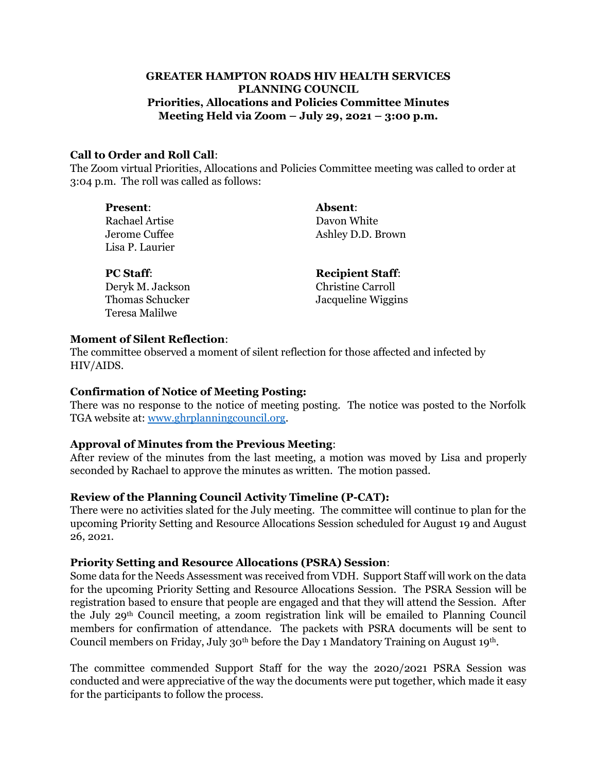## **GREATER HAMPTON ROADS HIV HEALTH SERVICES PLANNING COUNCIL Priorities, Allocations and Policies Committee Minutes Meeting Held via Zoom – July 29, 2021 – 3:00 p.m.**

#### **Call to Order and Roll Call**:

The Zoom virtual Priorities, Allocations and Policies Committee meeting was called to order at 3:04 p.m. The roll was called as follows:

| <b>Present:</b>                  | <b>Absent:</b>    |
|----------------------------------|-------------------|
| Rachael Artise                   | Davon White       |
| Jerome Cuffee<br>Lisa P. Laurier | Ashley D.D. Brown |

Deryk M. Jackson Christine Carroll Teresa Malilwe

**PC Staff: Recipient Staff:** Thomas Schucker Jacqueline Wiggins

#### **Moment of Silent Reflection**:

The committee 0bserved a moment of silent reflection for those affected and infected by HIV/AIDS.

### **Confirmation of Notice of Meeting Posting:**

There was no response to the notice of meeting posting. The notice was posted to the Norfolk TGA website at: [www.ghrplanningcouncil.org.](http://www.ghrplanningcouncil.org/)

### **Approval of Minutes from the Previous Meeting**:

After review of the minutes from the last meeting, a motion was moved by Lisa and properly seconded by Rachael to approve the minutes as written. The motion passed.

### **Review of the Planning Council Activity Timeline (P-CAT):**

There were no activities slated for the July meeting. The committee will continue to plan for the upcoming Priority Setting and Resource Allocations Session scheduled for August 19 and August 26, 2021.

### **Priority Setting and Resource Allocations (PSRA) Session**:

Some data for the Needs Assessment was received from VDH. Support Staff will work on the data for the upcoming Priority Setting and Resource Allocations Session. The PSRA Session will be registration based to ensure that people are engaged and that they will attend the Session. After the July 29th Council meeting, a zoom registration link will be emailed to Planning Council members for confirmation of attendance. The packets with PSRA documents will be sent to Council members on Friday, July 30<sup>th</sup> before the Day 1 Mandatory Training on August 19<sup>th</sup>.

The committee commended Support Staff for the way the 2020/2021 PSRA Session was conducted and were appreciative of the way the documents were put together, which made it easy for the participants to follow the process.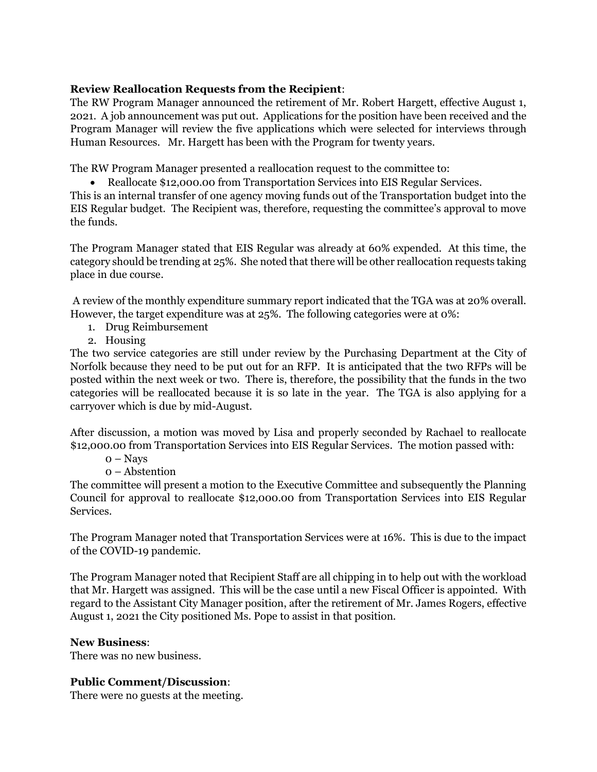## **Review Reallocation Requests from the Recipient**:

The RW Program Manager announced the retirement of Mr. Robert Hargett, effective August 1, 2021. A job announcement was put out. Applications for the position have been received and the Program Manager will review the five applications which were selected for interviews through Human Resources. Mr. Hargett has been with the Program for twenty years.

The RW Program Manager presented a reallocation request to the committee to:

• Reallocate \$12,000.00 from Transportation Services into EIS Regular Services.

This is an internal transfer of one agency moving funds out of the Transportation budget into the EIS Regular budget. The Recipient was, therefore, requesting the committee's approval to move the funds.

The Program Manager stated that EIS Regular was already at 60% expended. At this time, the category should be trending at 25%. She noted that there will be other reallocation requests taking place in due course.

A review of the monthly expenditure summary report indicated that the TGA was at 20% overall. However, the target expenditure was at 25%. The following categories were at 0%:

- 1. Drug Reimbursement
- 2. Housing

The two service categories are still under review by the Purchasing Department at the City of Norfolk because they need to be put out for an RFP. It is anticipated that the two RFPs will be posted within the next week or two. There is, therefore, the possibility that the funds in the two categories will be reallocated because it is so late in the year. The TGA is also applying for a carryover which is due by mid-August.

After discussion, a motion was moved by Lisa and properly seconded by Rachael to reallocate \$12,000.00 from Transportation Services into EIS Regular Services. The motion passed with:

- $0 N$ avs
- 0 Abstention

The committee will present a motion to the Executive Committee and subsequently the Planning Council for approval to reallocate \$12,000.00 from Transportation Services into EIS Regular Services.

The Program Manager noted that Transportation Services were at 16%. This is due to the impact of the COVID-19 pandemic.

The Program Manager noted that Recipient Staff are all chipping in to help out with the workload that Mr. Hargett was assigned. This will be the case until a new Fiscal Officer is appointed. With regard to the Assistant City Manager position, after the retirement of Mr. James Rogers, effective August 1, 2021 the City positioned Ms. Pope to assist in that position.

### **New Business**:

There was no new business.

# **Public Comment/Discussion**:

There were no guests at the meeting.